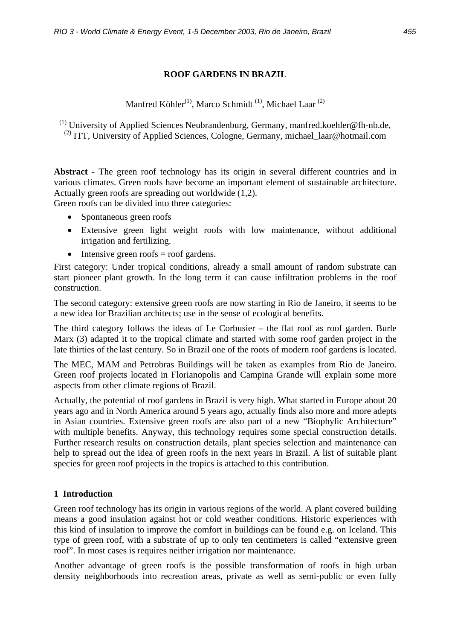# **ROOF GARDENS IN BRAZIL**

Manfred Köhler<sup>(1)</sup>, Marco Schmidt<sup>(1)</sup>, Michael Laar<sup>(2)</sup>

(1) University of Applied Sciences Neubrandenburg, Germany, manfred.koehler@fh-nb.de, <sup>(2)</sup> ITT, University of Applied Sciences, Cologne, Germany, michael  $\alpha$  laar@hotmail.com

**Abstract** - The green roof technology has its origin in several different countries and in various climates. Green roofs have become an important element of sustainable architecture. Actually green roofs are spreading out worldwide (1,2).

Green roofs can be divided into three categories:

- Spontaneous green roofs
- Extensive green light weight roofs with low maintenance, without additional irrigation and fertilizing.
- Intensive green roofs  $=$  roof gardens.

First category: Under tropical conditions, already a small amount of random substrate can start pioneer plant growth. In the long term it can cause infiltration problems in the roof construction.

The second category: extensive green roofs are now starting in Rio de Janeiro, it seems to be a new idea for Brazilian architects; use in the sense of ecological benefits.

The third category follows the ideas of Le Corbusier – the flat roof as roof garden. Burle Marx (3) adapted it to the tropical climate and started with some roof garden project in the late thirties of the last century. So in Brazil one of the roots of modern roof gardens is located.

The MEC, MAM and Petrobras Buildings will be taken as examples from Rio de Janeiro. Green roof projects located in Florianopolis and Campina Grande will explain some more aspects from other climate regions of Brazil.

Actually, the potential of roof gardens in Brazil is very high. What started in Europe about 20 years ago and in North America around 5 years ago, actually finds also more and more adepts in Asian countries. Extensive green roofs are also part of a new "Biophylic Architecture" with multiple benefits. Anyway, this technology requires some special construction details. Further research results on construction details, plant species selection and maintenance can help to spread out the idea of green roofs in the next years in Brazil. A list of suitable plant species for green roof projects in the tropics is attached to this contribution.

# **1 Introduction**

Green roof technology has its origin in various regions of the world. A plant covered building means a good insulation against hot or cold weather conditions. Historic experiences with this kind of insulation to improve the comfort in buildings can be found e.g. on Iceland. This type of green roof, with a substrate of up to only ten centimeters is called "extensive green roof". In most cases is requires neither irrigation nor maintenance.

Another advantage of green roofs is the possible transformation of roofs in high urban density neighborhoods into recreation areas, private as well as semi-public or even fully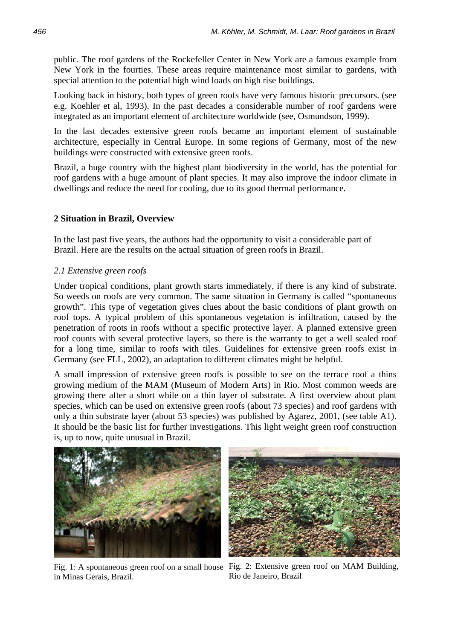public. The roof gardens of the Rockefeller Center in New York are a famous example from New York in the fourties. These areas require maintenance most similar to gardens, with special attention to the potential high wind loads on high rise buildings.

Looking back in history, both types of green roofs have very famous historic precursors. (see e.g. Koehler et al, 1993). In the past decades a considerable number of roof gardens were integrated as an important element of architecture worldwide (see, Osmundson, 1999).

In the last decades extensive green roofs became an important element of sustainable architecture, especially in Central Europe. In some regions of Germany, most of the new buildings were constructed with extensive green roofs.

Brazil, a huge country with the highest plant biodiversity in the world, has the potential for roof gardens with a huge amount of plant species. It may also improve the indoor climate in dwellings and reduce the need for cooling, due to its good thermal performance.

### **2 Situation in Brazil, Overview**

In the last past five years, the authors had the opportunity to visit a considerable part of Brazil. Here are the results on the actual situation of green roofs in Brazil.

#### *2.1 Extensive green roofs*

Under tropical conditions, plant growth starts immediately, if there is any kind of substrate. So weeds on roofs are very common. The same situation in Germany is called "spontaneous growth". This type of vegetation gives clues about the basic conditions of plant growth on roof tops. A typical problem of this spontaneous vegetation is infiltration, caused by the penetration of roots in roofs without a specific protective layer. A planned extensive green roof counts with several protective layers, so there is the warranty to get a well sealed roof for a long time, similar to roofs with tiles. Guidelines for extensive green roofs exist in Germany (see FLL, 2002), an adaptation to different climates might be helpful.

A small impression of extensive green roofs is possible to see on the terrace roof a thins growing medium of the MAM (Museum of Modern Arts) in Rio. Most common weeds are growing there after a short while on a thin layer of substrate. A first overview about plant species, which can be used on extensive green roofs (about 73 species) and roof gardens with only a thin substrate layer (about 53 species) was published by Agarez, 2001, (see table A1). It should be the basic list for further investigations. This light weight green roof construction is, up to now, quite unusual in Brazil.



Fig. 1: A spontaneous green roof on a small house Fig. 2: Extensive green roof on MAM Building, in Minas Gerais, Brazil.



Rio de Janeiro, Brazil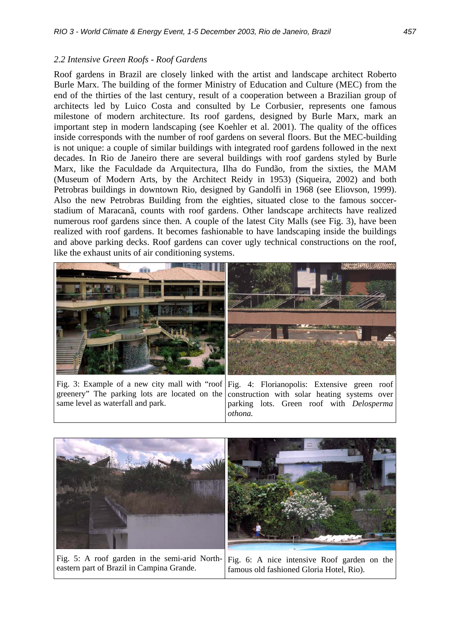## *2.2 Intensive Green Roofs - Roof Gardens*

Roof gardens in Brazil are closely linked with the artist and landscape architect Roberto Burle Marx. The building of the former Ministry of Education and Culture (MEC) from the end of the thirties of the last century, result of a cooperation between a Brazilian group of architects led by Luico Costa and consulted by Le Corbusier, represents one famous milestone of modern architecture. Its roof gardens, designed by Burle Marx, mark an important step in modern landscaping (see Koehler et al. 2001). The quality of the offices inside corresponds with the number of roof gardens on several floors. But the MEC-building is not unique: a couple of similar buildings with integrated roof gardens followed in the next decades. In Rio de Janeiro there are several buildings with roof gardens styled by Burle Marx, like the Faculdade da Arquitectura, Ilha do Fundão, from the sixties, the MAM (Museum of Modern Arts, by the Architect Reidy in 1953) (Siqueira, 2002) and both Petrobras buildings in downtown Rio, designed by Gandolfi in 1968 (see Eliovson, 1999). Also the new Petrobras Building from the eighties, situated close to the famous soccerstadium of Maracanã, counts with roof gardens. Other landscape architects have realized numerous roof gardens since then. A couple of the latest City Malls (see Fig. 3), have been realized with roof gardens. It becomes fashionable to have landscaping inside the buildings and above parking decks. Roof gardens can cover ugly technical constructions on the roof, like the exhaust units of air conditioning systems.



Fig. 3: Example of a new city mall with "roof greenery" The parking lots are located on the same level as waterfall and park.

Fig. 4: Florianopolis: Extensive green roof construction with solar heating systems over parking lots. Green roof with *Delosperma othona.*



eastern part of Brazil in Campina Grande. Fig. 6: A nice intensive Roof garden on the famous old fashioned Gloria Hotel, Rio).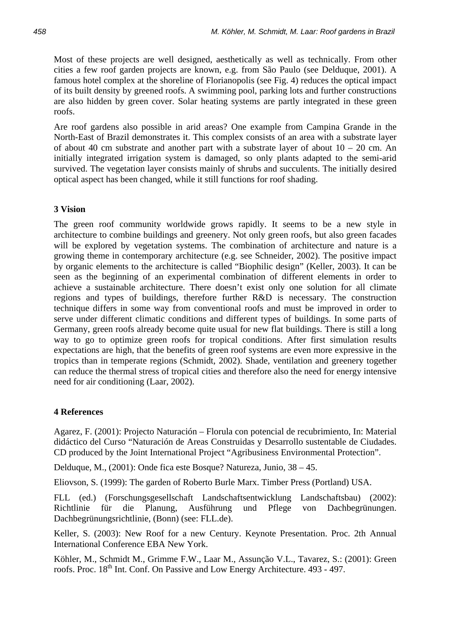Most of these projects are well designed, aesthetically as well as technically. From other cities a few roof garden projects are known, e.g. from São Paulo (see Delduque, 2001). A famous hotel complex at the shoreline of Florianopolis (see Fig. 4) reduces the optical impact of its built density by greened roofs. A swimming pool, parking lots and further constructions are also hidden by green cover. Solar heating systems are partly integrated in these green roofs.

Are roof gardens also possible in arid areas? One example from Campina Grande in the North-East of Brazil demonstrates it. This complex consists of an area with a substrate layer of about 40 cm substrate and another part with a substrate layer of about  $10 - 20$  cm. An initially integrated irrigation system is damaged, so only plants adapted to the semi-arid survived. The vegetation layer consists mainly of shrubs and succulents. The initially desired optical aspect has been changed, while it still functions for roof shading.

### **3 Vision**

The green roof community worldwide grows rapidly. It seems to be a new style in architecture to combine buildings and greenery. Not only green roofs, but also green facades will be explored by vegetation systems. The combination of architecture and nature is a growing theme in contemporary architecture (e.g. see Schneider, 2002). The positive impact by organic elements to the architecture is called "Biophilic design" (Keller, 2003). It can be seen as the beginning of an experimental combination of different elements in order to achieve a sustainable architecture. There doesn't exist only one solution for all climate regions and types of buildings, therefore further R&D is necessary. The construction technique differs in some way from conventional roofs and must be improved in order to serve under different climatic conditions and different types of buildings. In some parts of Germany, green roofs already become quite usual for new flat buildings. There is still a long way to go to optimize green roofs for tropical conditions. After first simulation results expectations are high, that the benefits of green roof systems are even more expressive in the tropics than in temperate regions (Schmidt, 2002). Shade, ventilation and greenery together can reduce the thermal stress of tropical cities and therefore also the need for energy intensive need for air conditioning (Laar, 2002).

#### **4 References**

Agarez, F. (2001): Projecto Naturación – Florula con potencial de recubrimiento, In: Material didáctico del Curso "Naturación de Areas Construidas y Desarrollo sustentable de Ciudades. CD produced by the Joint International Project "Agribusiness Environmental Protection".

Delduque, M., (2001): Onde fica este Bosque? Natureza, Junio, 38 – 45.

Eliovson, S. (1999): The garden of Roberto Burle Marx. Timber Press (Portland) USA.

FLL (ed.) (Forschungsgesellschaft Landschaftsentwicklung Landschaftsbau) (2002): Richtlinie für die Planung, Ausführung und Pflege von Dachbegrünungen. Dachbegrünungsrichtlinie, (Bonn) (see: FLL.de).

Keller, S. (2003): New Roof for a new Century. Keynote Presentation. Proc. 2th Annual International Conference EBA New York.

Köhler, M., Schmidt M., Grimme F.W., Laar M., Assunção V.L., Tavarez, S.: (2001): Green roofs. Proc. 18<sup>th</sup> Int. Conf. On Passive and Low Energy Architecture. 493 - 497.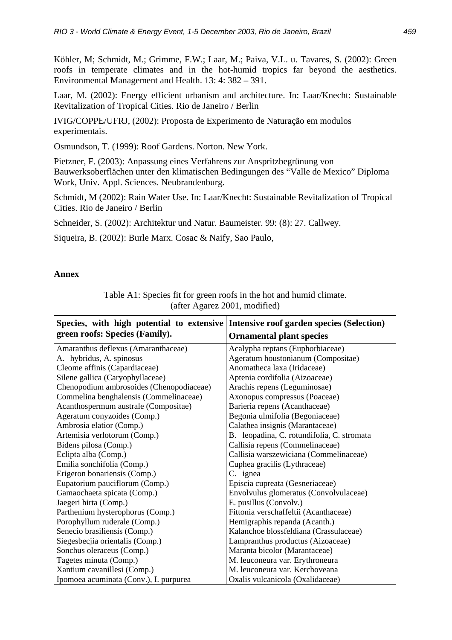Köhler, M; Schmidt, M.; Grimme, F.W.; Laar, M.; Paiva, V.L. u. Tavares, S. (2002): Green roofs in temperate climates and in the hot-humid tropics far beyond the aesthetics. Environmental Management and Health. 13: 4: 382 – 391.

Laar, M. (2002): Energy efficient urbanism and architecture. In: Laar/Knecht: Sustainable Revitalization of Tropical Cities. Rio de Janeiro / Berlin

IVIG/COPPE/UFRJ, (2002): Proposta de Experimento de Naturação em modulos experimentais.

Osmundson, T. (1999): Roof Gardens. Norton. New York.

Pietzner, F. (2003): Anpassung eines Verfahrens zur Anspritzbegrünung von Bauwerksoberflächen unter den klimatischen Bedingungen des "Valle de Mexico" Diploma Work, Univ. Appl. Sciences. Neubrandenburg.

Schmidt, M (2002): Rain Water Use. In: Laar/Knecht: Sustainable Revitalization of Tropical Cities. Rio de Janeiro / Berlin

Schneider, S. (2002): Architektur und Natur. Baumeister. 99: (8): 27. Callwey.

Siqueira, B. (2002): Burle Marx. Cosac & Naify, Sao Paulo,

## **Annex**

Table A1: Species fit for green roofs in the hot and humid climate. (after Agarez 2001, modified)

| Species, with high potential to extensive Intensive roof garden species (Selection) |                                            |
|-------------------------------------------------------------------------------------|--------------------------------------------|
| green roofs: Species (Family).                                                      | <b>Ornamental plant species</b>            |
| Amaranthus deflexus (Amaranthaceae)                                                 | Acalypha reptans (Euphorbiaceae)           |
| A. hybridus, A. spinosus                                                            | Ageratum houstonianum (Compositae)         |
| Cleome affinis (Capardiaceae)                                                       | Anomatheca laxa (Iridaceae)                |
| Silene gallica (Caryophyllaceae)                                                    | Aptenia cordifolia (Aizoaceae)             |
| Chenopodium ambrosoides (Chenopodiaceae)                                            | Arachis repens (Leguminosae)               |
| Commelina benghalensis (Commelinaceae)                                              | Axonopus compressus (Poaceae)              |
| Acanthospermum australe (Compositae)                                                | Barieria repens (Acanthaceae)              |
| Ageratum conyzoides (Comp.)                                                         | Begonia ulmifolia (Begoniaceae)            |
| Ambrosia elatior (Comp.)                                                            | Calathea insignis (Marantaceae)            |
| Artemisia verlotorum (Comp.)                                                        | B. leopadina, C. rotundifolia, C. stromata |
| Bidens pilosa (Comp.)                                                               | Callisia repens (Commelinaceae)            |
| Eclipta alba (Comp.)                                                                | Callisia warszewiciana (Commelinaceae)     |
| Emilia sonchifolia (Comp.)                                                          | Cuphea gracilis (Lythraceae)               |
| Erigeron bonariensis (Comp.)                                                        | C. ignea                                   |
| Eupatorium pauciflorum (Comp.)                                                      | Episcia cupreata (Gesneriaceae)            |
| Gamaochaeta spicata (Comp.)                                                         | Envolvulus glomeratus (Convolvulaceae)     |
| Jaegeri hirta (Comp.)                                                               | E. pusillus (Convolv.)                     |
| Parthenium hysterophorus (Comp.)                                                    | Fittonia verschaffeltii (Acanthaceae)      |
| Porophyllum ruderale (Comp.)                                                        | Hemigraphis repanda (Acanth.)              |
| Senecio brasiliensis (Comp.)                                                        | Kalanchoe blossfeldiana (Crassulaceae)     |
| Siegesbecjia orientalis (Comp.)                                                     | Lampranthus productus (Aizoaceae)          |
| Sonchus oleraceus (Comp.)                                                           | Maranta bicolor (Marantaceae)              |
| Tagetes minuta (Comp.)                                                              | M. leuconeura var. Erythroneura            |
| Xantium cavanillesi (Comp.)                                                         | M. leuconeura var. Kerchoveana             |
| Ipomoea acuminata (Conv.), I. purpurea                                              | Oxalis vulcanicola (Oxalidaceae)           |